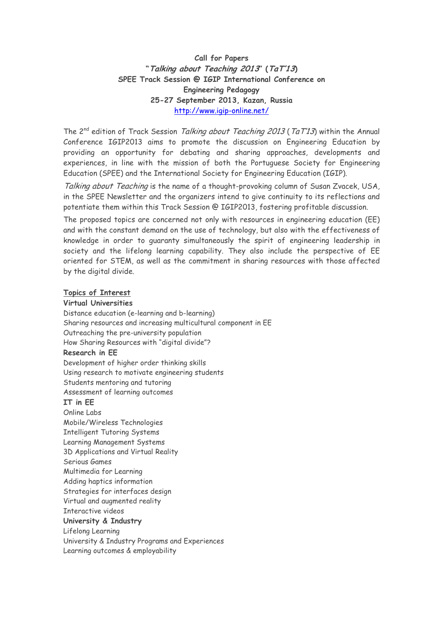# **Call for Papers "Talking about Teaching 2013" (TaT'13) SPEE Track Session @ IGIP International Conference on Engineering Pedagogy 25-27 September 2013, Kazan, Russia**  http://www.igip-online.net/

The 2<sup>nd</sup> edition of Track Session Talking about Teaching 2013 (TaT'13) within the Annual Conference IGIP2013 aims to promote the discussion on Engineering Education by providing an opportunity for debating and sharing approaches, developments and experiences, in line with the mission of both the Portuguese Society for Engineering Education (SPEE) and the International Society for Engineering Education (IGIP).

Talking about Teaching is the name of a thought-provoking column of Susan Zvacek, USA, in the SPEE Newsletter and the organizers intend to give continuity to its reflections and potentiate them within this Track Session @ IGIP2013, fostering profitable discussion.

The proposed topics are concerned not only with resources in engineering education (EE) and with the constant demand on the use of technology, but also with the effectiveness of knowledge in order to guaranty simultaneously the spirit of engineering leadership in society and the lifelong learning capability. They also include the perspective of EE oriented for STEM, as well as the commitment in sharing resources with those affected by the digital divide.

### **Topics of Interest**

#### **Virtual Universities**

Distance education (e-learning and b-learning) Sharing resources and increasing multicultural component in EE Outreaching the pre-university population How Sharing Resources with "digital divide"? **Research in EE**  Development of higher order thinking skills Using research to motivate engineering students Students mentoring and tutoring Assessment of learning outcomes **IT in EE**  Online Labs Mobile/Wireless Technologies Intelligent Tutoring Systems Learning Management Systems 3D Applications and Virtual Reality Serious Games Multimedia for Learning Adding haptics information Strategies for interfaces design Virtual and augmented reality Interactive videos **University & Industry**  Lifelong Learning University & Industry Programs and Experiences Learning outcomes & employability